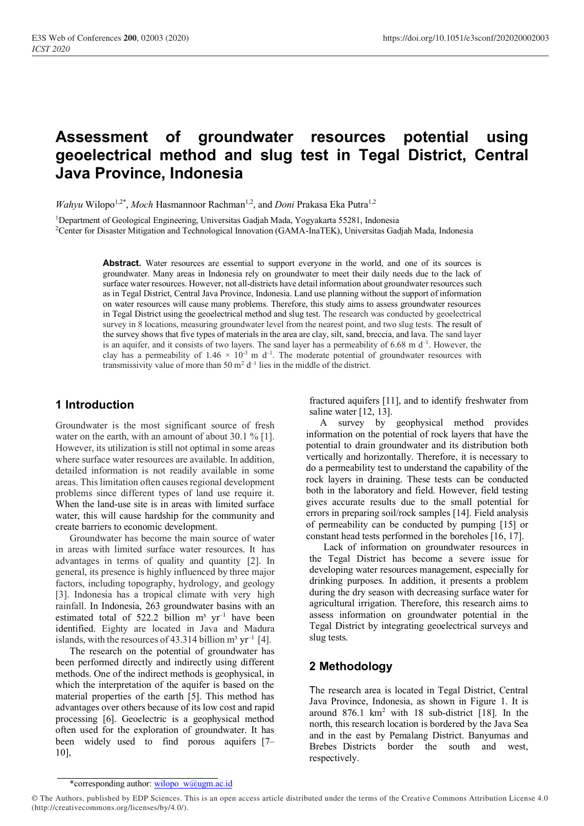# **Assessment of groundwater resources potential using geoelectrical method and slug test in Tegal District, Central Java Province, Indonesia**

*Wahyu* Wilopo<sup>1,2\*</sup>, *Moch* Hasmannoor Rachman<sup>1,2</sup>, and *Doni* Prakasa Eka Putra<sup>1,2</sup>

<sup>1</sup>Department of Geological Engineering, Universitas Gadjah Mada, Yogyakarta 55281, Indonesia <sup>2</sup>Center for Disaster Mitigation and Technological Innovation (GAMA-InaTEK), Universitas Gadjah Mada, Indonesia

> **Abstract.** Water resources are essential to support everyone in the world, and one of its sources is groundwater. Many areas in Indonesia rely on groundwater to meet their daily needs due to the lack of surface water resources. However, not all-districts have detail information about groundwater resources such as in Tegal District, Central Java Province, Indonesia. Land use planning without the support of information on water resources will cause many problems. Therefore, this study aims to assess groundwater resources in Tegal District using the geoelectrical method and slug test. The research was conducted by geoelectrical survey in 8 locations, measuring groundwater level from the nearest point, and two slug tests. The result of the survey shows that five types of materials in the area are clay, silt, sand, breccia, and lava. The sand layer is an aquifer, and it consists of two layers. The sand layer has a permeability of  $6.68$  m  $d^{-1}$ . However, the clay has a permeability of  $1.46 \times 10^{-3}$  m d<sup>-1</sup>. The moderate potential of groundwater resources with transmissivity value of more than 50  $\text{m}^2$  d<sup>-1</sup> lies in the middle of the district.

#### **1 Introduction**

Groundwater is the most significant source of fresh water on the earth, with an amount of about 30.1 % [1]. However, its utilization is still not optimal in some areas where surface water resources are available. In addition, detailed information is not readily available in some areas. This limitation often causes regional development problems since different types of land use require it. When the land-use site is in areas with limited surface water, this will cause hardship for the community and create barriers to economic development.

Groundwater has become the main source of water in areas with limited surface water resources. It has advantages in terms of quality and quantity [2]. In general, its presence is highly influenced by three major factors, including topography, hydrology, and geology [3]. Indonesia has a tropical climate with very high rainfall. In Indonesia, 263 groundwater basins with an estimated total of 522.2 billion  $m^3$  yr<sup>-1</sup> have been identified. Eighty are located in Java and Madura islands, with the resources of 43.314 billion  $m^3$  yr<sup>-1</sup> [4].

The research on the potential of groundwater has been performed directly and indirectly using different methods. One of the indirect methods is geophysical, in which the interpretation of the aquifer is based on the material properties of the earth [5]. This method has advantages over others because of its low cost and rapid processing [6]. Geoelectric is a geophysical method often used for the exploration of groundwater. It has been widely used to find porous aquifers [7– 10],

fractured aquifers [11], and to identify freshwater from saline water [12, 13].

A survey by geophysical method provides information on the potential of rock layers that have the potential to drain groundwater and its distribution both vertically and horizontally. Therefore, it is necessary to do a permeability test to understand the capability of the rock layers in draining. These tests can be conducted both in the laboratory and field. However, field testing gives accurate results due to the small potential for errors in preparing soil/rock samples [14]. Field analysis of permeability can be conducted by pumping [15] or constant head tests performed in the boreholes [16, 17].

Lack of information on groundwater resources in the Tegal District has become a severe issue for developing water resources management, especially for drinking purposes. In addition, it presents a problem during the dry season with decreasing surface water for agricultural irrigation. Therefore, this research aims to assess information on groundwater potential in the Tegal District by integrating geoelectrical surveys and slug tests.

## **2 Methodology**

The research area is located in Tegal District, Central Java Province, Indonesia, as shown in Figure 1. It is around  $876.1 \text{ km}^2$  with 18 sub-district [18]. In the north, this research location is bordered by the Java Sea and in the east by Pemalang District. Banyumas and Brebes Districts border the south and west, respectively.

<sup>\*</sup>corresponding author: [wilopo\\_w@ugm.ac.id](mailto:wilopo_w@ugm.ac.id)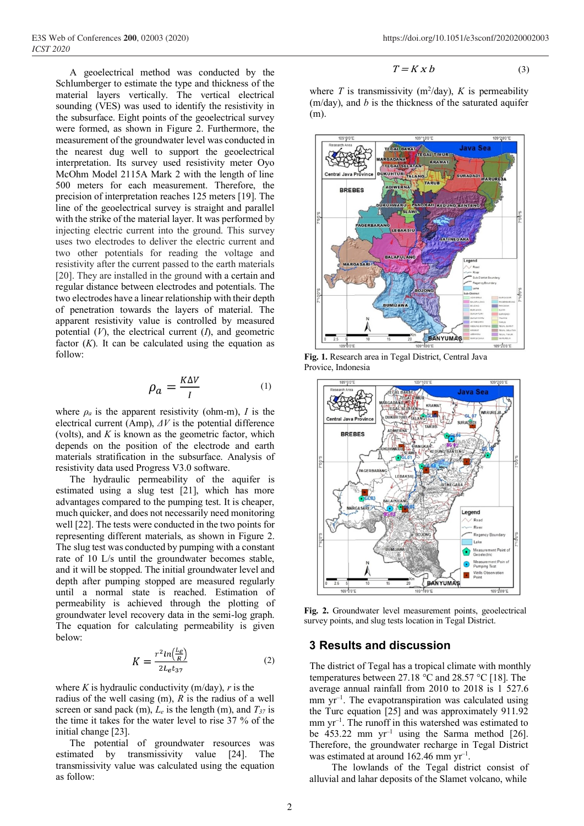A geoelectrical method was conducted by the Schlumberger to estimate the type and thickness of the material layers vertically. The vertical electrical sounding (VES) was used to identify the resistivity in the subsurface. Eight points of the geoelectrical survey were formed, as shown in Figure 2. Furthermore, the measurement of the groundwater level was conducted in the nearest dug well to support the geoelectrical interpretation. Its survey used resistivity meter Oyo McOhm Model 2115A Mark 2 with the length of line 500 meters for each measurement. Therefore, the precision of interpretation reaches 125 meters [19]. The line of the geoelectrical survey is straight and parallel with the strike of the material layer. It was performed by injecting electric current into the ground. This survey uses two electrodes to deliver the electric current and two other potentials for reading the voltage and resistivity after the current passed to the earth materials [20]. They are installed in the ground with a certain and regular distance between electrodes and potentials. The two electrodes have a linear relationship with their depth of penetration towards the layers of material. The apparent resistivity value is controlled by measured potential (*V*), the electrical current (*I*), and geometric factor  $(K)$ . It can be calculated using the equation as follow:

$$
\rho_a = \frac{K\Delta V}{I} \tag{1}
$$

where  $\rho_a$  is the apparent resistivity (ohm-m), *I* is the electrical current (Amp), *ΔV* is the potential difference (volts), and *K* is known as the geometric factor, which depends on the position of the electrode and earth materials stratification in the subsurface. Analysis of resistivity data used Progress V3.0 software.

The hydraulic permeability of the aquifer is estimated using a slug test [21], which has more advantages compared to the pumping test. It is cheaper, much quicker, and does not necessarily need monitoring well [22]. The tests were conducted in the two points for representing different materials, as shown in Figure 2. The slug test was conducted by pumping with a constant rate of 10 L/s until the groundwater becomes stable, and it will be stopped. The initial groundwater level and depth after pumping stopped are measured regularly until a normal state is reached. Estimation of permeability is achieved through the plotting of groundwater level recovery data in the semi-log graph. The equation for calculating permeability is given below:

$$
K = \frac{r^2 \ln\left(\frac{L_e}{R}\right)}{2L_e t_{37}}\tag{2}
$$

where *K* is hydraulic conductivity ( $m$ /day), *r* is the radius of the well casing (m), *R* is the radius of a well screen or sand pack (m),  $L_e$  is the length (m), and  $T_{37}$  is the time it takes for the water level to rise 37 % of the initial change [23].

The potential of groundwater resources was estimated by transmissivity value [24]. The transmissivity value was calculated using the equation as follow:

$$
T = K \, X \, b \tag{3}
$$

where *T* is transmissivity ( $m^2$ /day), *K* is permeability (m/day), and *b* is the thickness of the saturated aquifer (m).



**Fig. 1.** Research area in Tegal District, Central Java Provice, Indonesia



**Fig. 2.** Groundwater level measurement points, geoelectrical survey points, and slug tests location in Tegal District.

#### **3 Results and discussion**

The district of Tegal has a tropical climate with monthly temperatures between 27.18 °C and 28.57 °C [18]. The average annual rainfall from 2010 to 2018 is 1 527.6 mm yr<sup>-1</sup>. The evapotranspiration was calculated using the Turc equation [25] and was approximately 911.92 mm yr<sup>-1</sup>. The runoff in this watershed was estimated to be  $453.22$  mm  $yr^{-1}$  using the Sarma method [26]. Therefore, the groundwater recharge in Tegal District was estimated at around  $162.46$  mm yr<sup>-1</sup>.

The lowlands of the Tegal district consist of alluvial and lahar deposits of the Slamet volcano, while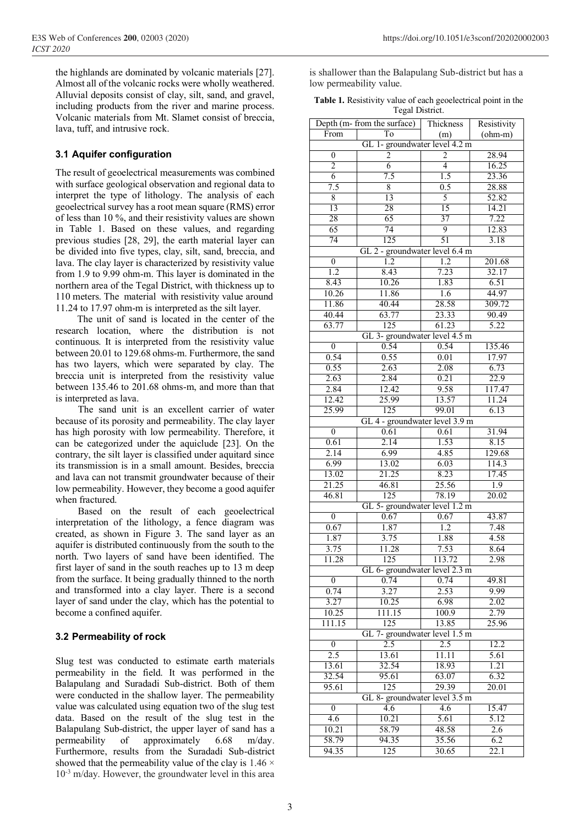the highlands are dominated by volcanic materials [27]. Almost all of the volcanic rocks were wholly weathered. Alluvial deposits consist of clay, silt, sand, and gravel, including products from the river and marine process. Volcanic materials from Mt. Slamet consist of breccia, lava, tuff, and intrusive rock.

### **3.1 Aquifer configuration**

The result of geoelectrical measurements was combined with surface geological observation and regional data to interpret the type of lithology. The analysis of each geoelectrical survey has a root mean square (RMS) error of less than 10 %, and their resistivity values are shown in Table 1. Based on these values, and regarding previous studies [28, 29], the earth material layer can be divided into five types, clay, silt, sand, breccia, and lava. The clay layer is characterized by resistivity value from 1.9 to 9.99 ohm-m. This layer is dominated in the northern area of the Tegal District, with thickness up to 110 meters. The material with resistivity value around 11.24 to 17.97 ohm-m is interpreted as the silt layer.

The unit of sand is located in the center of the research location, where the distribution is not continuous. It is interpreted from the resistivity value between 20.01 to 129.68 ohms-m. Furthermore, the sand has two layers, which were separated by clay. The breccia unit is interpreted from the resistivity value between 135.46 to 201.68 ohms-m, and more than that is interpreted as lava.

The sand unit is an excellent carrier of water because of its porosity and permeability. The clay layer has high porosity with low permeability. Therefore, it can be categorized under the aquiclude [23]. On the contrary, the silt layer is classified under aquitard since its transmission is in a small amount. Besides, breccia and lava can not transmit groundwater because of their low permeability. However, they become a good aquifer when fractured.

Based on the result of each geoelectrical interpretation of the lithology, a fence diagram was created, as shown in Figure 3. The sand layer as an aquifer is distributed continuously from the south to the north. Two layers of sand have been identified. The first layer of sand in the south reaches up to 13 m deep from the surface. It being gradually thinned to the north and transformed into a clay layer. There is a second layer of sand under the clay, which has the potential to become a confined aquifer.

## **3.2 Permeability of rock**

Slug test was conducted to estimate earth materials permeability in the field. It was performed in the Balapulang and Suradadi Sub-district. Both of them were conducted in the shallow layer. The permeability value was calculated using equation two of the slug test data. Based on the result of the slug test in the Balapulang Sub-district, the upper layer of sand has a permeability of approximately 6.68 m/day. Furthermore, results from the Suradadi Sub-district showed that the permeability value of the clay is  $1.46 \times$  $10^{-3}$  m/day. However, the groundwater level in this area is shallower than the Balapulang Sub-district but has a low permeability value.

| <b>Table 1.</b> Resistivity value of each geoelectrical point in the |
|----------------------------------------------------------------------|
| Tegal District.                                                      |

|                                | Depth ( $m$ - from the surface) | Thickness | Resistivity |  |  |  |  |
|--------------------------------|---------------------------------|-----------|-------------|--|--|--|--|
| From<br>To                     |                                 | (m)       | $(ohm-m)$   |  |  |  |  |
|                                | GL 1- groundwater level 4.2 m   |           |             |  |  |  |  |
| $\boldsymbol{0}$               | $\overline{2}$                  | 2         | 28.94       |  |  |  |  |
| $\overline{2}$                 | $\overline{6}$                  | 4         | 16.25       |  |  |  |  |
| 6                              | 7.5                             | 1.5       | 23.36       |  |  |  |  |
| 7.5                            | 8                               | 0.5       | 28.88       |  |  |  |  |
| 8                              | 13                              | 5         | 52.82       |  |  |  |  |
| $\overline{13}$                | 28                              | 15        | 14.21       |  |  |  |  |
| 28                             | 65                              | 37        | 7.22        |  |  |  |  |
| 65                             | 74                              | 9         | 12.83       |  |  |  |  |
| 74                             | 125                             | 51        | 3.18        |  |  |  |  |
|                                | GL 2 - groundwater level 6.4 m  |           |             |  |  |  |  |
| $\overline{0}$                 | 1.2                             | 1.2       | 201.68      |  |  |  |  |
| 1.2                            | 8.43                            | 7.23      | 32.17       |  |  |  |  |
|                                |                                 |           |             |  |  |  |  |
| 8.43                           | 10.26                           | 1.83      | 6.51        |  |  |  |  |
| 10.26                          | 11.86                           | 1.6       | 44.97       |  |  |  |  |
| 11.86                          | 40.44                           | 28.58     | 309.72      |  |  |  |  |
| 40.44                          | 63.77                           | 23.33     | 90.49       |  |  |  |  |
| 63.77                          | 125                             | 61.23     | 5.22        |  |  |  |  |
|                                | GL 3- groundwater level 4.5 m   |           |             |  |  |  |  |
| $\overline{0}$                 | 0.54                            | 0.54      | 135.46      |  |  |  |  |
| 0.54                           | 0.55                            | 0.01      | 17.97       |  |  |  |  |
| 0.55                           | 2.63                            | 2.08      | 6.73        |  |  |  |  |
| 2.63                           | 2.84                            | 0.21      | 22.9        |  |  |  |  |
| 2.84                           | 12.42                           | 9.58      | 117.47      |  |  |  |  |
| 12.42                          | 25.99                           | 13.57     | 11.24       |  |  |  |  |
| 25.99                          | 125                             | 99.01     | 6.13        |  |  |  |  |
|                                | GL 4 - groundwater level 3.9 m  |           |             |  |  |  |  |
| $\overline{0}$                 | 0.61                            | 0.61      | 31.94       |  |  |  |  |
| 0.61                           | 2.14                            | 1.53      | 8.15        |  |  |  |  |
| 2.14                           | 6.99                            | 4.85      | 129.68      |  |  |  |  |
| 6.99                           | 13.02                           | 6.03      | 114.3       |  |  |  |  |
| 13.02                          | 21.25                           | 8.23      | 17.45       |  |  |  |  |
| 21.25                          | 46.81                           | 25.56     | 1.9         |  |  |  |  |
|                                |                                 |           |             |  |  |  |  |
| 46.81                          | 125                             | 78.19     | 20.02       |  |  |  |  |
|                                | GL 5- groundwater level 1.2 m   |           |             |  |  |  |  |
| $\boldsymbol{0}$               | 0.67                            | 0.67      | 43.87       |  |  |  |  |
| 0.67                           | 1.87                            | 1.2       | 7.48        |  |  |  |  |
| 1.87                           | 3.75                            | 1.88      | 4.58        |  |  |  |  |
| 3.75                           | 11.28                           | 7.53      | 8.64        |  |  |  |  |
| 11.28                          | 125                             | 113.72    | 2.98        |  |  |  |  |
|                                | GL 6- groundwater level 2.3 m   |           |             |  |  |  |  |
| $\boldsymbol{0}$               | 0.74                            | 0.74      | 49.81       |  |  |  |  |
| 0.74                           | 3.27                            | 2.53      | 9.99        |  |  |  |  |
| 3.27                           | 10.25                           | 6.98      | 2.02        |  |  |  |  |
| 10.25                          | 111.15                          | 100.9     | 2.79        |  |  |  |  |
| 111.15                         | 125                             | 13.85     | 25.96       |  |  |  |  |
|                                | GL 7- groundwater level 1.5 m   |           |             |  |  |  |  |
| $\mathbf{0}$                   | 2.5                             | 2.5       | 12.2        |  |  |  |  |
| 2.5                            | 13.61                           | 11.11     | 5.61        |  |  |  |  |
| 13.61                          | 32.54                           | 18.93     | 1.21        |  |  |  |  |
| 32.54                          | 95.61                           | 63.07     |             |  |  |  |  |
|                                |                                 |           | 6.32        |  |  |  |  |
| 125<br>29.39<br>95.61<br>20.01 |                                 |           |             |  |  |  |  |
| GL 8- groundwater level 3.5 m  |                                 |           |             |  |  |  |  |
| $\boldsymbol{0}$               | 4.6                             | 4.6       | 15.47       |  |  |  |  |
| 4.6                            | 10.21                           | 5.61      | 5.12        |  |  |  |  |
| 10.21                          | 58.79                           | 48.58     | 2.6         |  |  |  |  |
| 58.79                          | 94.35                           | 35.56     | 6.2         |  |  |  |  |
| 94.35                          | 125                             | 30.65     | 22.1        |  |  |  |  |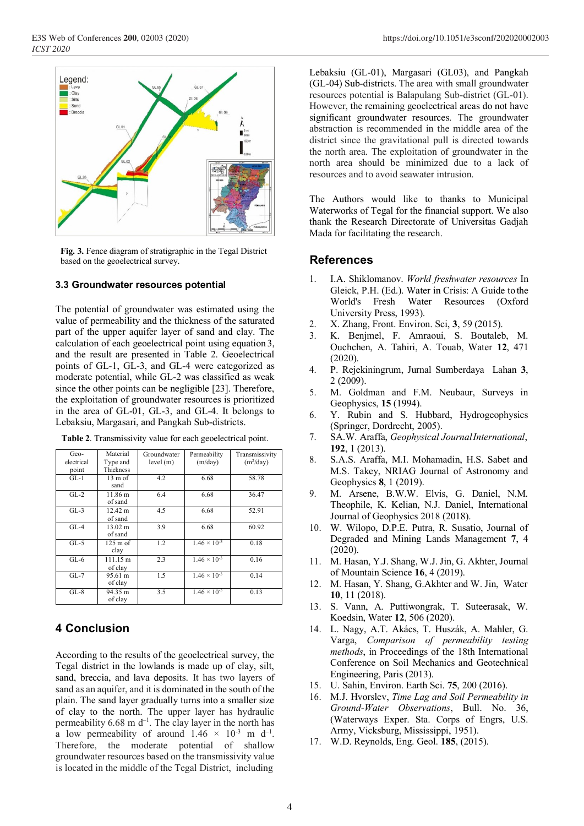

**Fig. 3.** Fence diagram of stratigraphic in the Tegal District based on the geoelectrical survey.

#### **3.3 Groundwater resources potential**

The potential of groundwater was estimated using the value of permeability and the thickness of the saturated part of the upper aquifer layer of sand and clay. The calculation of each geoelectrical point using equation 3, and the result are presented in Table 2. Geoelectrical points of GL-1, GL-3, and GL-4 were categorized as moderate potential, while GL-2 was classified as weak since the other points can be negligible [23]. Therefore, the exploitation of groundwater resources is prioritized in the area of GL-01, GL-3, and GL-4. It belongs to Lebaksiu, Margasari, and Pangkah Sub-districts.

| Geo-       | Material                     | Groundwater | Permeability          | Transmissivity |
|------------|------------------------------|-------------|-----------------------|----------------|
| electrical | Type and                     | level(m)    | (m/day)               | $(m^2/day)$    |
| point      | Thickness                    |             |                       |                |
| $GL-1$     | $13 \text{ m of}$<br>sand    | 4.2         | 6.68                  | 58.78          |
| $GL-2$     | $11.86 \text{ m}$<br>of sand | 6.4         | 6.68                  | 36.47          |
| $GL-3$     | 12.42 m<br>of sand           | 4.5         | 6.68                  | 52.91          |
| $GL-4$     | 13.02 m<br>of sand           | 3.9         | 6.68                  | 60.92          |
| $GL-5$     | $125 \text{ m of}$<br>clay   | 1.2         | $1.46 \times 10^{-3}$ | 0.18           |
| $GL-6$     | 111.15 m<br>of clay          | 2.3         | $1.46 \times 10^{-3}$ | 0.16           |
| $GL-7$     | 95.61 m<br>of clay           | 1.5         | $1.46 \times 10^{-3}$ | 0.14           |
| $GL-8$     | 94.35 m<br>of clay           | 3.5         | $1.46 \times 10^{-3}$ | 0.13           |

**Table 2**. Transmissivity value for each geoelectrical point.

## **4 Conclusion**

According to the results of the geoelectrical survey, the Tegal district in the lowlands is made up of clay, silt, sand, breccia, and lava deposits. It has two layers of sand as an aquifer, and it is dominated in the south of the plain. The sand layer gradually turns into a smaller size of clay to the north. The upper layer has hydraulic permeability  $6.68 \text{ m d}^{-1}$ . The clay layer in the north has a low permeability of around  $1.46 \times 10^{-3}$  m d<sup>-1</sup>. Therefore, the moderate potential of shallow groundwater resources based on the transmissivity value is located in the middle of the Tegal District, including

Lebaksiu (GL-01), Margasari (GL03), and Pangkah (GL-04) Sub-districts. The area with small groundwater resources potential is Balapulang Sub-district (GL-01). However, the remaining geoelectrical areas do not have significant groundwater resources. The groundwater abstraction is recommended in the middle area of the district since the gravitational pull is directed towards the north area. The exploitation of groundwater in the north area should be minimized due to a lack of resources and to avoid seawater intrusion.

The Authors would like to thanks to Municipal Waterworks of Tegal for the financial support. We also thank the Research Directorate of Universitas Gadjah Mada for facilitating the research.

#### **References**

- 1. I.A. Shiklomanov. *World freshwater resources* In Gleick, P.H. (Ed.). Water in Crisis: A Guide tothe World's Fresh Water Resources (Oxford University Press, 1993).
- 2. X. Zhang, Front. Environ. Sci, **3**, 59 (2015).
- 3. K. Benjmel, F. Amraoui, S. Boutaleb, M. Ouchchen, A. Tahiri, A. Touab, Water **12**, 471 (2020).
- 4. P. Rejekiningrum, Jurnal Sumberdaya Lahan **3**, 2 (2009).
- 5. M. Goldman and F.M. Neubaur, Surveys in Geophysics, **15** (1994).
- 6. Y. Rubin and S. Hubbard, Hydrogeophysics (Springer, Dordrecht, 2005).
- 7. SA.W. Araffa, *Geophysical JournalInternational*, **192**, 1 (2013).
- 8. S.A.S. Araffa, M.I. Mohamadin, H.S. Sabet and M.S. Takey, NRIAG Journal of Astronomy and Geophysics **8**, 1 (2019).
- 9. M. Arsene, B.W.W. Elvis, G. Daniel, N.M. Theophile, K. Kelian, N.J. Daniel, International Journal of Geophysics 2018 (2018).
- 10. W. Wilopo, D.P.E. Putra, R. Susatio, Journal of Degraded and Mining Lands Management **7**, 4 (2020).
- 11. M. Hasan, Y.J. Shang, W.J. Jin, G. Akhter, Journal of Mountain Science **16**, 4 (2019).
- 12. M. Hasan, Y. Shang, G.Akhter and W. Jin, Water **10**, 11 (2018).
- 13. S. Vann, A. Puttiwongrak, T. Suteerasak, W. Koedsin, Water **12**, 506 (2020).
- 14. L. Nagy, A.T. Akács, T. Huszák, A. Mahler, G. Varga, *Comparison of permeability testing methods*, in Proceedings of the 18th International Conference on Soil Mechanics and Geotechnical Engineering, Paris (2013).
- 15. U. Sahin, Environ. Earth Sci. **75**, 200 (2016).
- 16. M.J. Hvorslev, *Time Lag and Soil Permeability in Ground-Water Observations*, Bull. No. 36, (Waterways Exper. Sta. Corps of Engrs, U.S. Army, Vicksburg, Mississippi, 1951).
- 17. W.D. Reynolds, Eng. Geol. **185**, (2015).